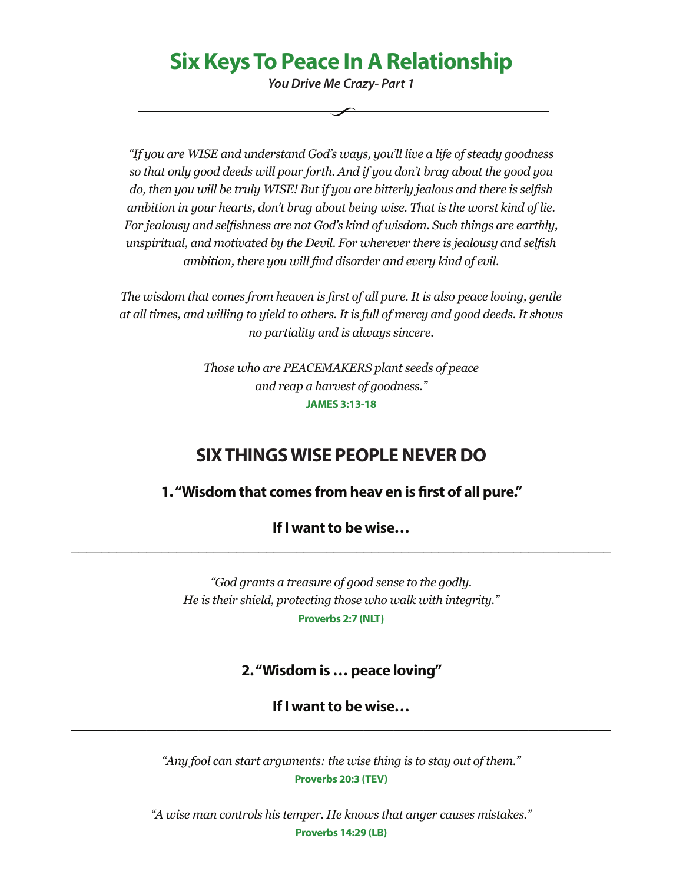# **Six Keys To Peace In A Relationship**

*You Drive Me Crazy- Part 1*

*"If you are WISE and understand God's ways, you'll live a life of steady goodness so that only good deeds will pour forth. And if you don't brag about the good you do, then you will be truly WISE! But if you are bitterly jealous and there is selfish ambition in your hearts, don't brag about being wise. That is the worst kind of lie. For jealousy and selfishness are not God's kind of wisdom. Such things are earthly, unspiritual, and motivated by the Devil. For wherever there is jealousy and selfish ambition, there you will find disorder and every kind of evil.*

*The wisdom that comes from heaven is first of all pure. It is also peace loving, gentle at all times, and willing to yield to others. It is full of mercy and good deeds. It shows no partiality and is always sincere.*

> *Those who are PEACEMAKERS plant seeds of peace and reap a harvest of goodness."* **JAMES 3:13-18**

## **SIX THINGS WISE PEOPLE NEVER DO**

### **1. "Wisdom that comes from heav en is first of all pure."**

**If I want to be wise… \_\_\_\_\_\_\_\_\_\_\_\_\_\_\_\_\_\_\_\_\_\_\_\_\_\_\_\_\_\_\_\_\_\_\_\_\_\_\_\_\_\_\_\_\_\_\_\_\_\_\_\_\_\_\_\_\_\_\_\_\_\_\_\_\_\_\_\_\_\_\_\_**

> *"God grants a treasure of good sense to the godly. He is their shield, protecting those who walk with integrity."* **Proverbs 2:7 (NLT)**

### **2. "Wisdom is … peace loving"**

**If I want to be wise… \_\_\_\_\_\_\_\_\_\_\_\_\_\_\_\_\_\_\_\_\_\_\_\_\_\_\_\_\_\_\_\_\_\_\_\_\_\_\_\_\_\_\_\_\_\_\_\_\_\_\_\_\_\_\_\_\_\_\_\_\_\_\_\_\_\_\_\_\_\_\_\_**

> *"Any fool can start arguments: the wise thing is to stay out of them."* **Proverbs 20:3 (TEV)**

*"A wise man controls his temper. He knows that anger causes mistakes."* **Proverbs 14:29 (LB)**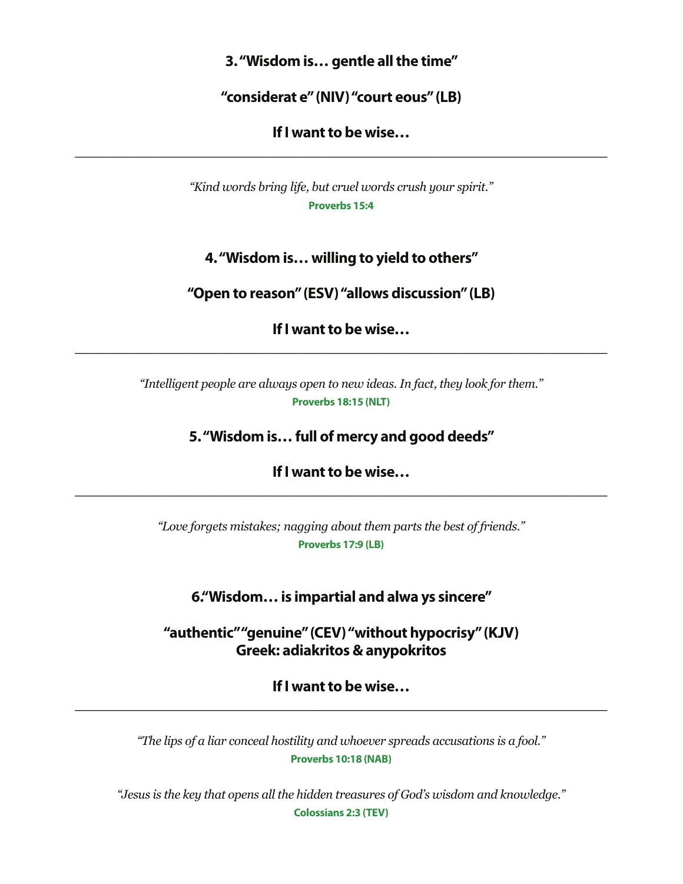**3. "Wisdom is… gentle all the time"**

**"considerat e" (NIV) "court eous" (LB)**

**If I want to be wise… \_\_\_\_\_\_\_\_\_\_\_\_\_\_\_\_\_\_\_\_\_\_\_\_\_\_\_\_\_\_\_\_\_\_\_\_\_\_\_\_\_\_\_\_\_\_\_\_\_\_\_\_\_\_\_\_\_\_\_\_\_\_\_\_\_\_\_\_\_\_\_**

> *"Kind words bring life, but cruel words crush your spirit."* **Proverbs 15:4**

**4. "Wisdom is… willing to yield to others"**

**"Open to reason" (ESV) "allows discussion" (LB)**

**If I want to be wise… \_\_\_\_\_\_\_\_\_\_\_\_\_\_\_\_\_\_\_\_\_\_\_\_\_\_\_\_\_\_\_\_\_\_\_\_\_\_\_\_\_\_\_\_\_\_\_\_\_\_\_\_\_\_\_\_\_\_\_\_\_\_\_\_\_\_\_\_\_\_\_**

> *"Intelligent people are always open to new ideas. In fact, they look for them."* **Proverbs 18:15 (NLT)**

> > **5. "Wisdom is… full of mercy and good deeds"**

**If I want to be wise… \_\_\_\_\_\_\_\_\_\_\_\_\_\_\_\_\_\_\_\_\_\_\_\_\_\_\_\_\_\_\_\_\_\_\_\_\_\_\_\_\_\_\_\_\_\_\_\_\_\_\_\_\_\_\_\_\_\_\_\_\_\_\_\_\_\_\_\_\_\_\_**

> *"Love forgets mistakes; nagging about them parts the best of friends."* **Proverbs 17:9 (LB)**

**6."Wisdom… is impartial and alwa ys sincere"**

**"authentic" "genuine" (CEV) "without hypocrisy" (KJV) Greek: adiakritos & anypokritos**

**If I want to be wise… \_\_\_\_\_\_\_\_\_\_\_\_\_\_\_\_\_\_\_\_\_\_\_\_\_\_\_\_\_\_\_\_\_\_\_\_\_\_\_\_\_\_\_\_\_\_\_\_\_\_\_\_\_\_\_\_\_\_\_\_\_\_\_\_\_\_\_\_\_\_\_**

> *"The lips of a liar conceal hostility and whoever spreads accusations is a fool."* **Proverbs 10:18 (NAB)**

*"Jesus is the key that opens all the hidden treasures of God's wisdom and knowledge."* **Colossians 2:3 (TEV)**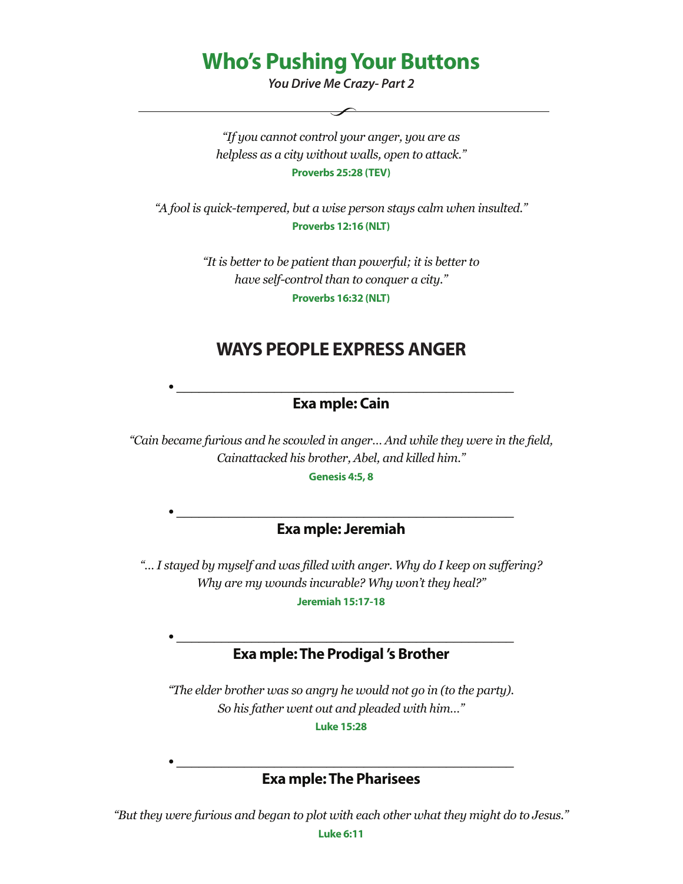# **Who's Pushing Your Buttons**

*You Drive Me Crazy- Part 2*

*"If you cannot control your anger, you are as helpless as a city without walls, open to attack."* **Proverbs 25:28 (TEV)**

*"A fool is quick-tempered, but a wise person stays calm when insulted."* **Proverbs 12:16 (NLT)**

> *"It is better to be patient than powerful; it is better to have self-control than to conquer a city."* **Proverbs 16:32 (NLT)**

## **WAYS PEOPLE EXPRESS ANGER**

### **• \_\_\_\_\_\_\_\_\_\_\_\_\_\_\_\_\_\_\_\_\_\_\_\_\_\_\_\_\_\_\_\_\_\_\_\_\_\_\_\_\_\_\_\_\_ Exa mple: Cain**

*"Cain became furious and he scowled in anger… And while they were in the field, Cainattacked his brother, Abel, and killed him."*

**Genesis 4:5, 8**

#### **• \_\_\_\_\_\_\_\_\_\_\_\_\_\_\_\_\_\_\_\_\_\_\_\_\_\_\_\_\_\_\_\_\_\_\_\_\_\_\_\_\_\_\_\_\_ Exa mple: Jeremiah**

*"… I stayed by myself and was filled with anger. Why do I keep on suffering? Why are my wounds incurable? Why won't they heal?"*

**Jeremiah 15:17-18**

#### **• \_\_\_\_\_\_\_\_\_\_\_\_\_\_\_\_\_\_\_\_\_\_\_\_\_\_\_\_\_\_\_\_\_\_\_\_\_\_\_\_\_\_\_\_\_ Exa mple: The Prodigal 's Brother**

*"The elder brother was so angry he would not go in (to the party). So his father went out and pleaded with him…"*

**Luke 15:28**

### **• \_\_\_\_\_\_\_\_\_\_\_\_\_\_\_\_\_\_\_\_\_\_\_\_\_\_\_\_\_\_\_\_\_\_\_\_\_\_\_\_\_\_\_\_\_ Exa mple: The Pharisees**

*"But they were furious and began to plot with each other what they might do to Jesus."*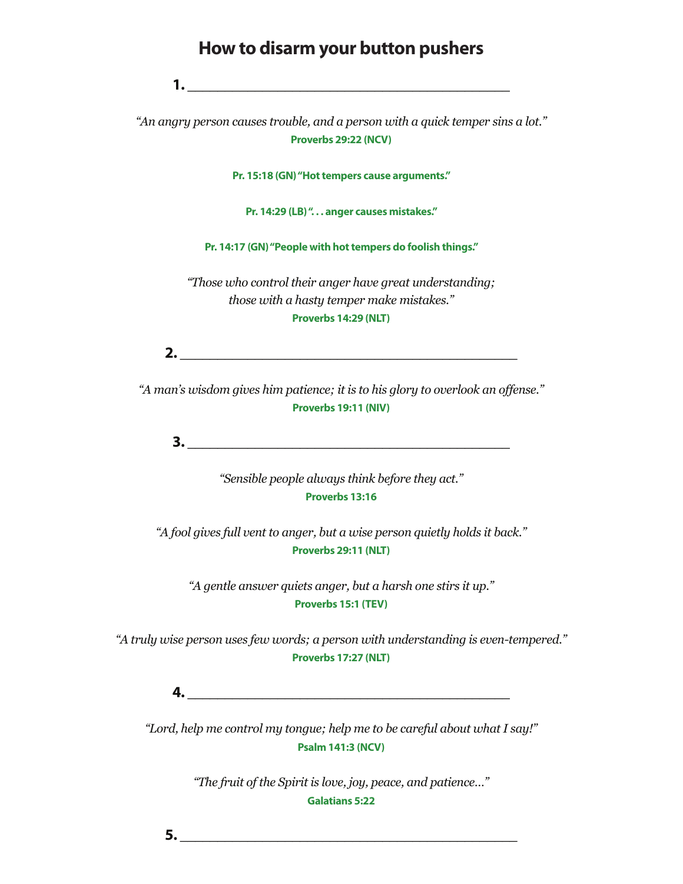### **How to disarm your button pushers**

**1. \_\_\_\_\_\_\_\_\_\_\_\_\_\_\_\_\_\_\_\_\_\_\_\_\_\_\_\_\_\_\_\_\_\_\_\_\_\_\_\_\_\_\_**

*"An angry person causes trouble, and a person with a quick temper sins a lot."* **Proverbs 29:22 (NCV)**

**Pr. 15:18 (GN) "Hot tempers cause arguments."**

**Pr. 14:29 (LB) ". . . anger causes mistakes."**

**Pr. 14:17 (GN) "People with hot tempers do foolish things."**

*"Those who control their anger have great understanding; those with a hasty temper make mistakes."* **Proverbs 14:29 (NLT)**

**2. \_\_\_\_\_\_\_\_\_\_\_\_\_\_\_\_\_\_\_\_\_\_\_\_\_\_\_\_\_\_\_\_\_\_\_\_\_\_\_\_\_\_\_\_\_**

*"A man's wisdom gives him patience; it is to his glory to overlook an offense."* **Proverbs 19:11 (NIV)**

**3.**  $\blacksquare$ 

*"Sensible people always think before they act."* **Proverbs 13:16**

*"A fool gives full vent to anger, but a wise person quietly holds it back."* **Proverbs 29:11 (NLT)**

*"A gentle answer quiets anger, but a harsh one stirs it up."* **Proverbs 15:1 (TEV)**

*"A truly wise person uses few words; a person with understanding is even-tempered."* **Proverbs 17:27 (NLT)**

**4. \_\_\_\_\_\_\_\_\_\_\_\_\_\_\_\_\_\_\_\_\_\_\_\_\_\_\_\_\_\_\_\_\_\_\_\_\_\_\_\_\_\_\_**

*"Lord, help me control my tongue; help me to be careful about what I say!"* **Psalm 141:3 (NCV)**

> *"The fruit of the Spirit is love, joy, peace, and patience…"* **Galatians 5:22**

**5. \_\_\_\_\_\_\_\_\_\_\_\_\_\_\_\_\_\_\_\_\_\_\_\_\_\_\_\_\_\_\_\_\_\_\_\_\_\_\_\_\_\_\_\_\_**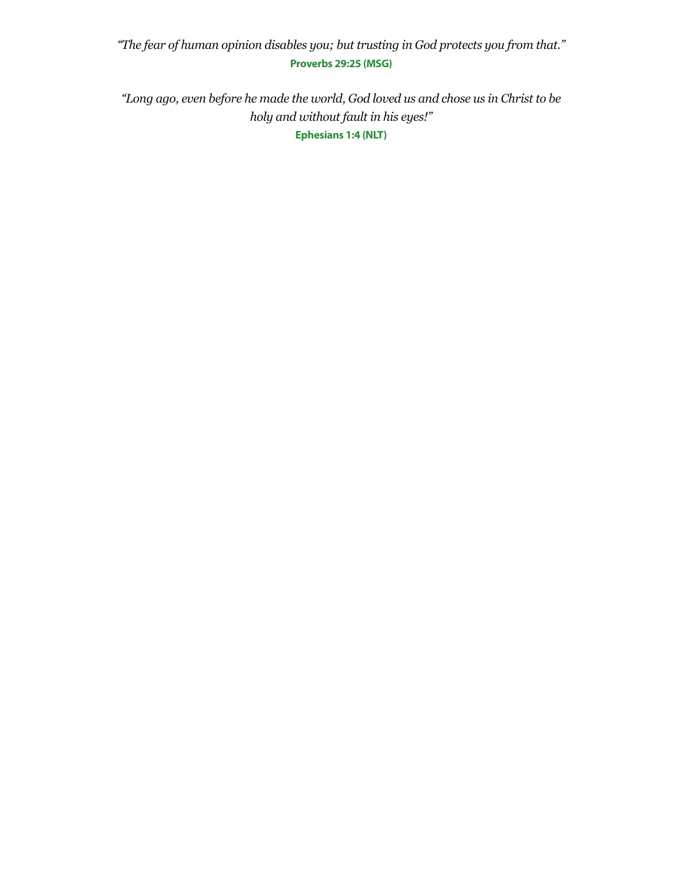### *"The fear of human opinion disables you; but trusting in God protects you from that."* **Proverbs 29:25 (MSG)**

*"Long ago, even before he made the world, God loved us and chose us in Christ to be holy and without fault in his eyes!"* **Ephesians 1:4 (NLT)**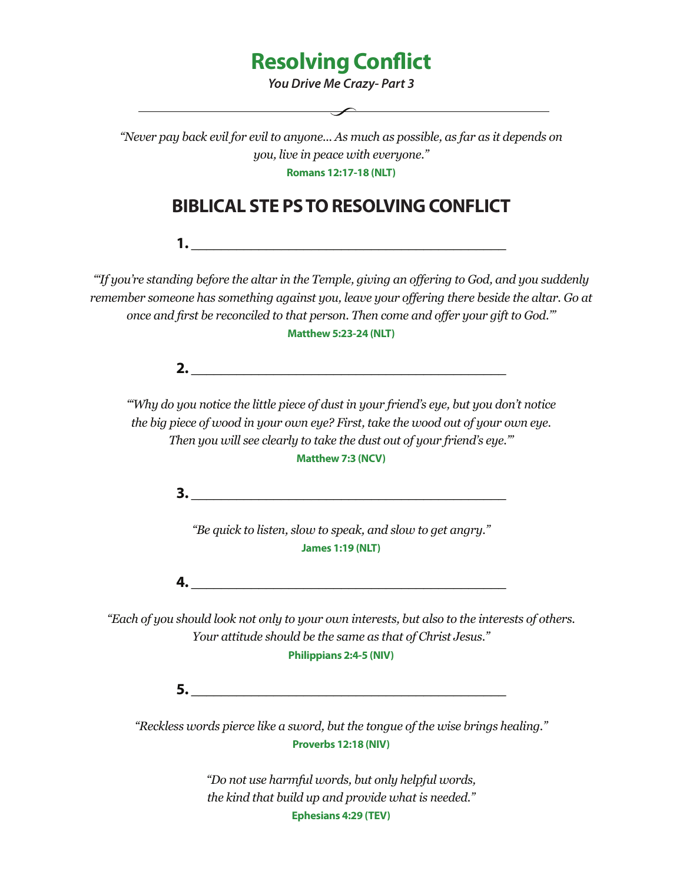# **Resolving Conflict**

*You Drive Me Crazy- Part 3*

 $\overline{\phantom{a}}$  ,  $\overline{\phantom{a}}$  ,  $\overline{\phantom{a}}$  ,  $\overline{\phantom{a}}$  ,  $\overline{\phantom{a}}$  ,  $\overline{\phantom{a}}$  ,  $\overline{\phantom{a}}$  ,  $\overline{\phantom{a}}$  ,  $\overline{\phantom{a}}$  ,  $\overline{\phantom{a}}$  ,  $\overline{\phantom{a}}$  ,  $\overline{\phantom{a}}$  ,  $\overline{\phantom{a}}$  ,  $\overline{\phantom{a}}$  ,  $\overline{\phantom{a}}$  ,  $\overline{\phantom{a}}$ 

*"Never pay back evil for evil to anyone... As much as possible, as far as it depends on you, live in peace with everyone."*

**Romans 12:17-18 (NLT)**

# **BIBLICAL STE PS TO RESOLVING CONFLICT**

**1. \_\_\_\_\_\_\_\_\_\_\_\_\_\_\_\_\_\_\_\_\_\_\_\_\_\_\_\_\_\_\_\_\_\_\_\_\_\_\_\_\_\_**

*"'If you're standing before the altar in the Temple, giving an offering to God, and you suddenly remember someone has something against you, leave your offering there beside the altar. Go at once and first be reconciled to that person. Then come and offer your gift to God.'"* **Matthew 5:23-24 (NLT)**

**2. \_\_\_\_\_\_\_\_\_\_\_\_\_\_\_\_\_\_\_\_\_\_\_\_\_\_\_\_\_\_\_\_\_\_\_\_\_\_\_\_\_\_**

*"'Why do you notice the little piece of dust in your friend's eye, but you don't notice the big piece of wood in your own eye? First, take the wood out of your own eye. Then you will see clearly to take the dust out of your friend's eye.'"*

**Matthew 7:3 (NCV)**

**3. \_\_\_\_\_\_\_\_\_\_\_\_\_\_\_\_\_\_\_\_\_\_\_\_\_\_\_\_\_\_\_\_\_\_\_\_\_\_\_\_\_\_**

*"Be quick to listen, slow to speak, and slow to get angry."* **James 1:19 (NLT)**

**4. \_\_\_\_\_\_\_\_\_\_\_\_\_\_\_\_\_\_\_\_\_\_\_\_\_\_\_\_\_\_\_\_\_\_\_\_\_\_\_\_\_\_**

*"Each of you should look not only to your own interests, but also to the interests of others. Your attitude should be the same as that of Christ Jesus."*

**Philippians 2:4-5 (NIV)**

**5. \_\_\_\_\_\_\_\_\_\_\_\_\_\_\_\_\_\_\_\_\_\_\_\_\_\_\_\_\_\_\_\_\_\_\_\_\_\_\_\_\_\_**

*"Reckless words pierce like a sword, but the tongue of the wise brings healing."* **Proverbs 12:18 (NIV)**

> *"Do not use harmful words, but only helpful words, the kind that build up and provide what is needed."* **Ephesians 4:29 (TEV)**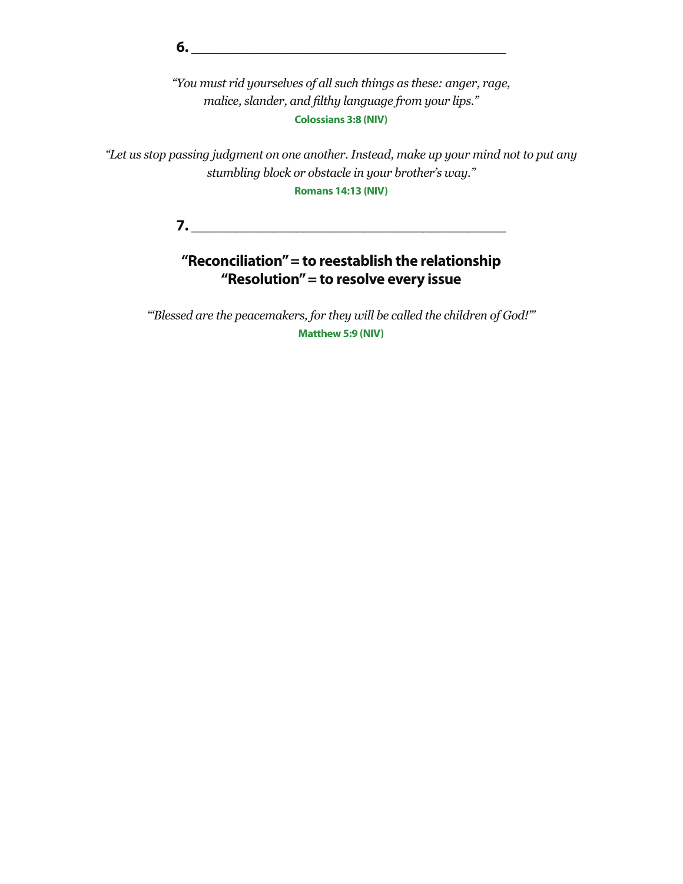**6. \_\_\_\_\_\_\_\_\_\_\_\_\_\_\_\_\_\_\_\_\_\_\_\_\_\_\_\_\_\_\_\_\_\_\_\_\_\_\_\_\_\_**

*"You must rid yourselves of all such things as these: anger, rage, malice, slander, and filthy language from your lips."* **Colossians 3:8 (NIV)**

*"Let us stop passing judgment on one another. Instead, make up your mind not to put any stumbling block or obstacle in your brother's way."*

**Romans 14:13 (NIV)**

**7. \_\_\_\_\_\_\_\_\_\_\_\_\_\_\_\_\_\_\_\_\_\_\_\_\_\_\_\_\_\_\_\_\_\_\_\_\_\_\_\_\_\_**

## **"Reconciliation" = to reestablish the relationship "Resolution" = to resolve every issue**

*"'Blessed are the peacemakers, for they will be called the children of God!'"* **Matthew 5:9 (NIV)**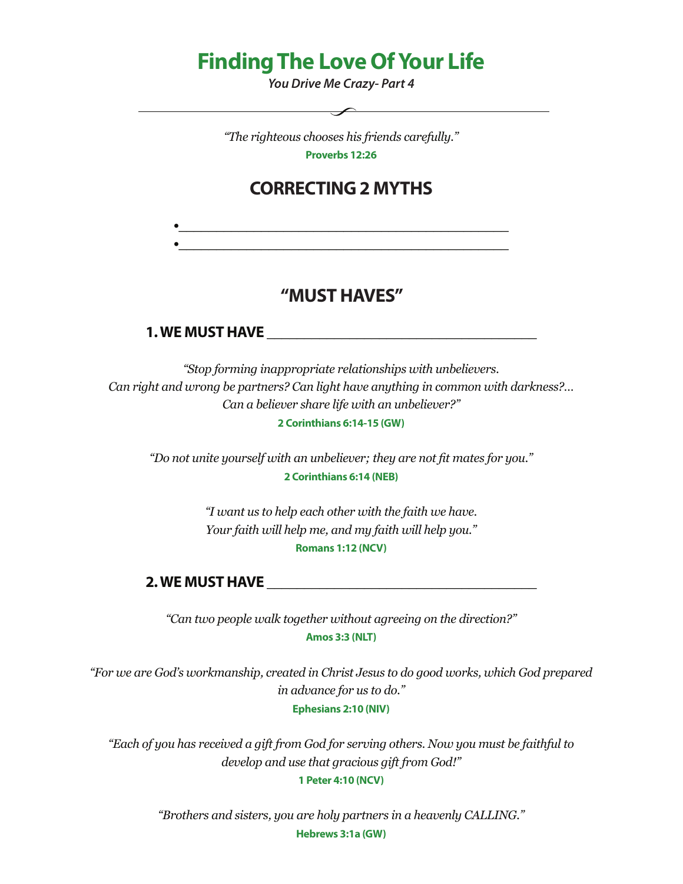# **Finding The Love Of Your Life**

*You Drive Me Crazy- Part 4*

*"The righteous chooses his friends carefully."* **Proverbs 12:26**

 $\overline{\phantom{a}}$ 

## **CORRECTING 2 MYTHS**

**•\_\_\_\_\_\_\_\_\_\_\_\_\_\_\_\_\_\_\_\_\_\_\_\_\_\_\_\_\_\_\_\_\_\_\_\_\_\_\_\_\_\_\_\_**

### **"MUST HAVES"**

### **1. WE MUST HAVE \_\_\_\_\_\_\_\_\_\_\_\_\_\_\_\_\_\_\_\_\_\_\_\_\_\_\_\_\_\_\_\_\_\_\_\_**

*"Stop forming inappropriate relationships with unbelievers. Can right and wrong be partners? Can light have anything in common with darkness?… Can a believer share life with an unbeliever?"* **2 Corinthians 6:14-15 (GW)**

*"Do not unite yourself with an unbeliever; they are not fit mates for you."* **2 Corinthians 6:14 (NEB)**

> *"I want us to help each other with the faith we have. Your faith will help me, and my faith will help you."* **Romans 1:12 (NCV)**

#### **2. WE MUST HAVE**

*"Can two people walk together without agreeing on the direction?"* **Amos 3:3 (NLT)**

*"For we are God's workmanship, created in Christ Jesus to do good works, which God prepared in advance for us to do."* **Ephesians 2:10 (NIV)**

*"Each of you has received a gift from God for serving others. Now you must be faithful to develop and use that gracious gift from God!"* **1 Peter 4:10 (NCV)**

> *"Brothers and sisters, you are holy partners in a heavenly CALLING."* **Hebrews 3:1a (GW)**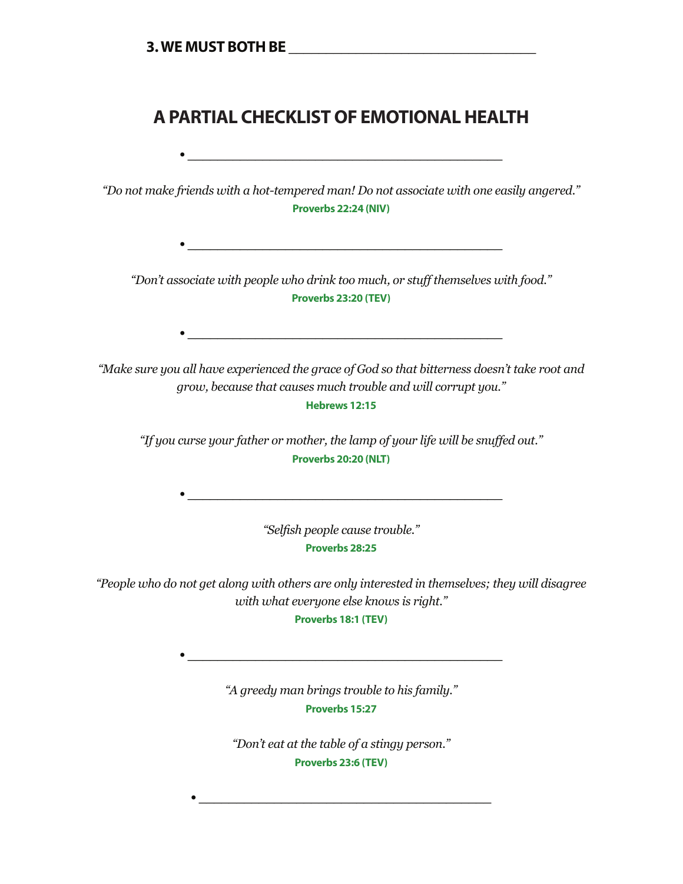## **A PARTIAL CHECKLIST OF EMOTIONAL HEALTH**

**• \_\_\_\_\_\_\_\_\_\_\_\_\_\_\_\_\_\_\_\_\_\_\_\_\_\_\_\_\_\_\_\_\_\_\_\_\_\_\_\_\_\_**

*"Do not make friends with a hot-tempered man! Do not associate with one easily angered."* **Proverbs 22:24 (NIV)**

*"Don't associate with people who drink too much, or stuff themselves with food."* **Proverbs 23:20 (TEV)**

*"Make sure you all have experienced the grace of God so that bitterness doesn't take root and grow, because that causes much trouble and will corrupt you."*

**Hebrews 12:15**

*"If you curse your father or mother, the lamp of your life will be snuffed out."* **Proverbs 20:20 (NLT)**

> *"Selfish people cause trouble."* **Proverbs 28:25**

*"People who do not get along with others are only interested in themselves; they will disagree with what everyone else knows is right."*

**Proverbs 18:1 (TEV)**

*"A greedy man brings trouble to his family."* **Proverbs 15:27**

*"Don't eat at the table of a stingy person."* **Proverbs 23:6 (TEV)**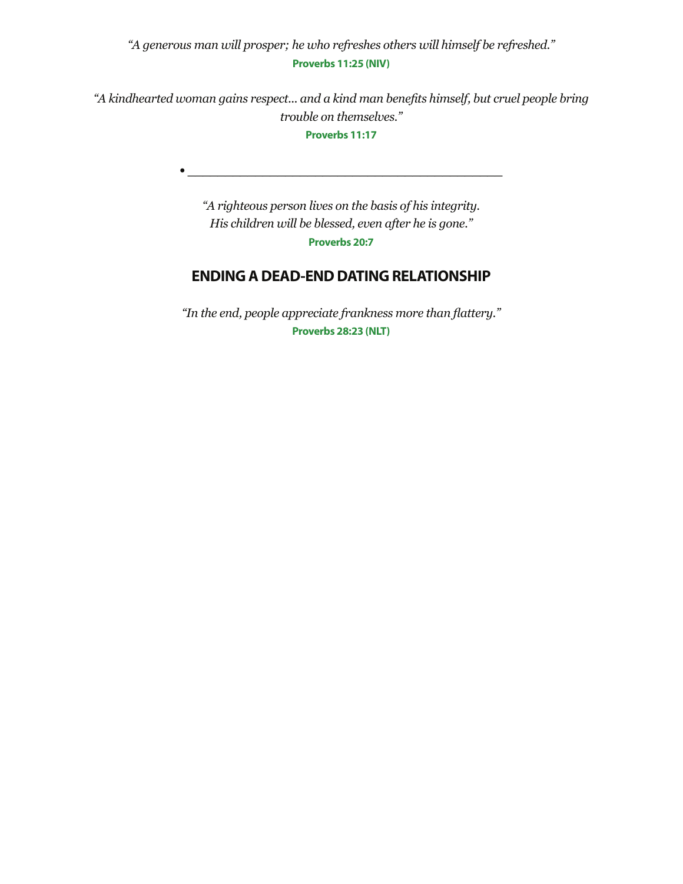*"A generous man will prosper; he who refreshes others will himself be refreshed."* **Proverbs 11:25 (NIV)**

*"A kindhearted woman gains respect... and a kind man benefits himself, but cruel people bring trouble on themselves."*

**Proverbs 11:17**

**• \_\_\_\_\_\_\_\_\_\_\_\_\_\_\_\_\_\_\_\_\_\_\_\_\_\_\_\_\_\_\_\_\_\_\_\_\_\_\_\_\_\_**

*"A righteous person lives on the basis of his integrity. His children will be blessed, even after he is gone."* **Proverbs 20:7**

### **ENDING A DEAD-END DATING RELATIONSHIP**

*"In the end, people appreciate frankness more than flattery."* **Proverbs 28:23 (NLT)**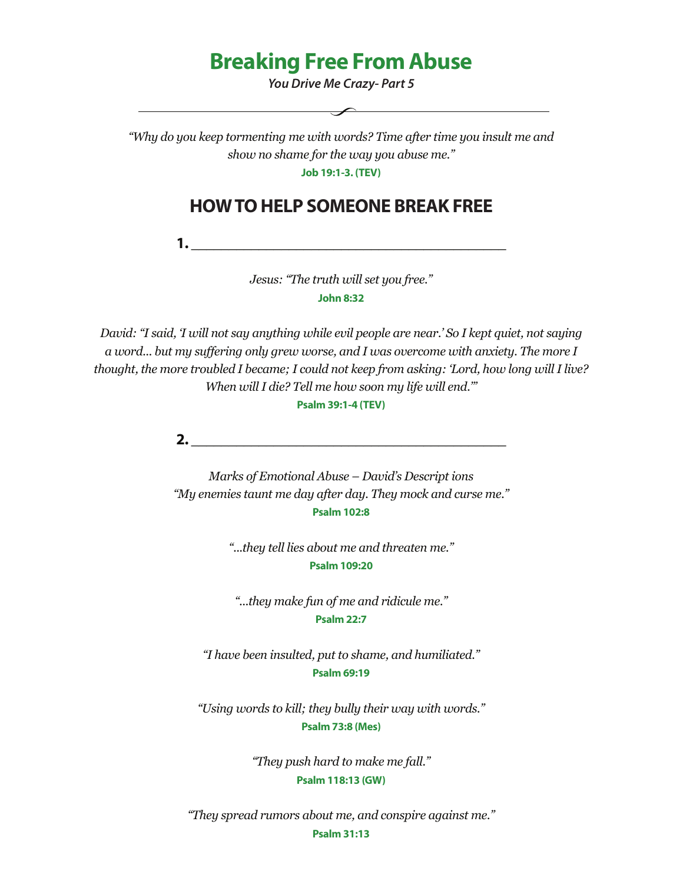# **Breaking Free From Abuse**

*You Drive Me Crazy- Part 5*

*"Why do you keep tormenting me with words? Time after time you insult me and show no shame for the way you abuse me."*

**Job 19:1-3. (TEV)**

## **HOW TO HELP SOMEONE BREAK FREE**

**1. \_\_\_\_\_\_\_\_\_\_\_\_\_\_\_\_\_\_\_\_\_\_\_\_\_\_\_\_\_\_\_\_\_\_\_\_\_\_\_\_\_\_**

*Jesus: "The truth will set you free."* **John 8:32**

*David: "I said, 'I will not say anything while evil people are near.' So I kept quiet, not saying a word... but my suffering only grew worse, and I was overcome with anxiety. The more I thought, the more troubled I became; I could not keep from asking: 'Lord, how long will I live? When will I die? Tell me how soon my life will end.'"*

**Psalm 39:1-4 (TEV)**

**2. \_\_\_\_\_\_\_\_\_\_\_\_\_\_\_\_\_\_\_\_\_\_\_\_\_\_\_\_\_\_\_\_\_\_\_\_\_\_\_\_\_\_**

*Marks of Emotional Abuse – David's Descript ions "My enemies taunt me day after day. They mock and curse me."* **Psalm 102:8**

> *"...they tell lies about me and threaten me."* **Psalm 109:20**

*"...they make fun of me and ridicule me."* **Psalm 22:7**

*"I have been insulted, put to shame, and humiliated."* **Psalm 69:19**

*"Using words to kill; they bully their way with words."* **Psalm 73:8 (Mes)**

> *"They push hard to make me fall."* **Psalm 118:13 (GW)**

*"They spread rumors about me, and conspire against me."*

**Psalm 31:13**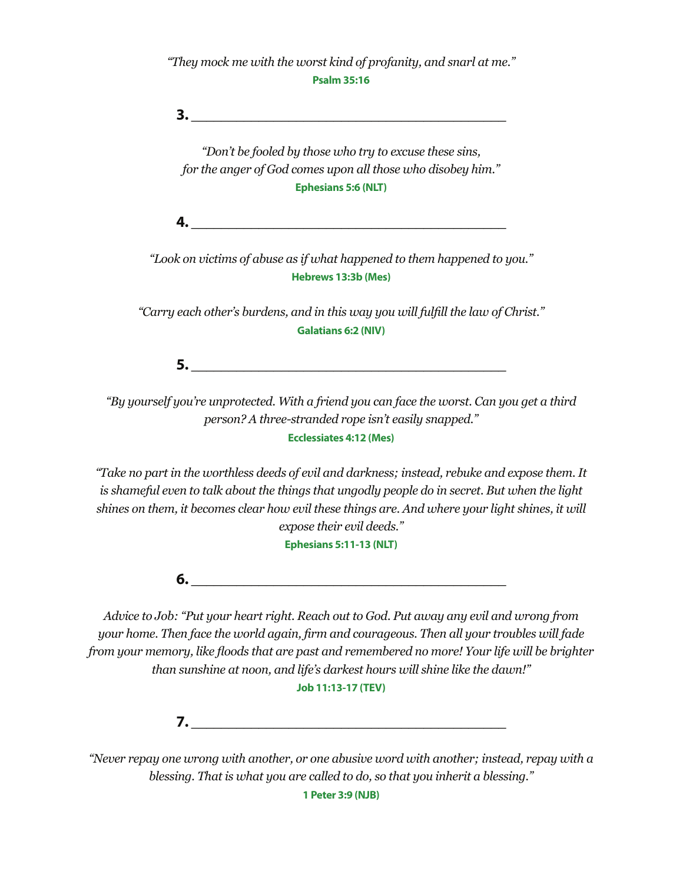*"They mock me with the worst kind of profanity, and snarl at me."* **Psalm 35:16**

**3.**  $\blacksquare$ 

*"Don't be fooled by those who try to excuse these sins, for the anger of God comes upon all those who disobey him."* **Ephesians 5:6 (NLT)**

**4. \_\_\_\_\_\_\_\_\_\_\_\_\_\_\_\_\_\_\_\_\_\_\_\_\_\_\_\_\_\_\_\_\_\_\_\_\_\_\_\_\_\_**

*"Look on victims of abuse as if what happened to them happened to you."* **Hebrews 13:3b (Mes)**

*"Carry each other's burdens, and in this way you will fulfill the law of Christ."* **Galatians 6:2 (NIV)**

**5. \_\_\_\_\_\_\_\_\_\_\_\_\_\_\_\_\_\_\_\_\_\_\_\_\_\_\_\_\_\_\_\_\_\_\_\_\_\_\_\_\_\_**

*"By yourself you're unprotected. With a friend you can face the worst. Can you get a third person? A three-stranded rope isn't easily snapped."* **Ecclessiates 4:12 (Mes)**

*"Take no part in the worthless deeds of evil and darkness; instead, rebuke and expose them. It is shameful even to talk about the things that ungodly people do in secret. But when the light shines on them, it becomes clear how evil these things are. And where your light shines, it will expose their evil deeds."*

**Ephesians 5:11-13 (NLT)**

**6. \_\_\_\_\_\_\_\_\_\_\_\_\_\_\_\_\_\_\_\_\_\_\_\_\_\_\_\_\_\_\_\_\_\_\_\_\_\_\_\_\_\_**

*Advice to Job: "Put your heart right. Reach out to God. Put away any evil and wrong from your home. Then face the world again, firm and courageous. Then all your troubles will fade from your memory, like floods that are past and remembered no more! Your life will be brighter than sunshine at noon, and life's darkest hours will shine like the dawn!"*

**Job 11:13-17 (TEV)**

**7. \_\_\_\_\_\_\_\_\_\_\_\_\_\_\_\_\_\_\_\_\_\_\_\_\_\_\_\_\_\_\_\_\_\_\_\_\_\_\_\_\_\_**

*"Never repay one wrong with another, or one abusive word with another; instead, repay with a blessing. That is what you are called to do, so that you inherit a blessing."*

**1 Peter 3:9 (NJB)**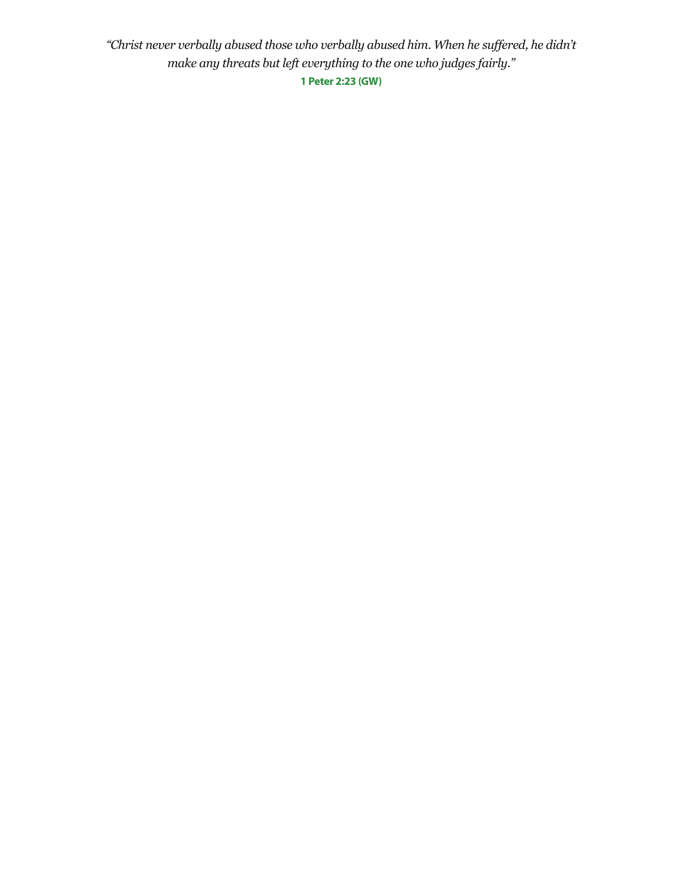*"Christ never verbally abused those who verbally abused him. When he suffered, he didn't make any threats but left everything to the one who judges fairly."* **1 Peter 2:23 (GW)**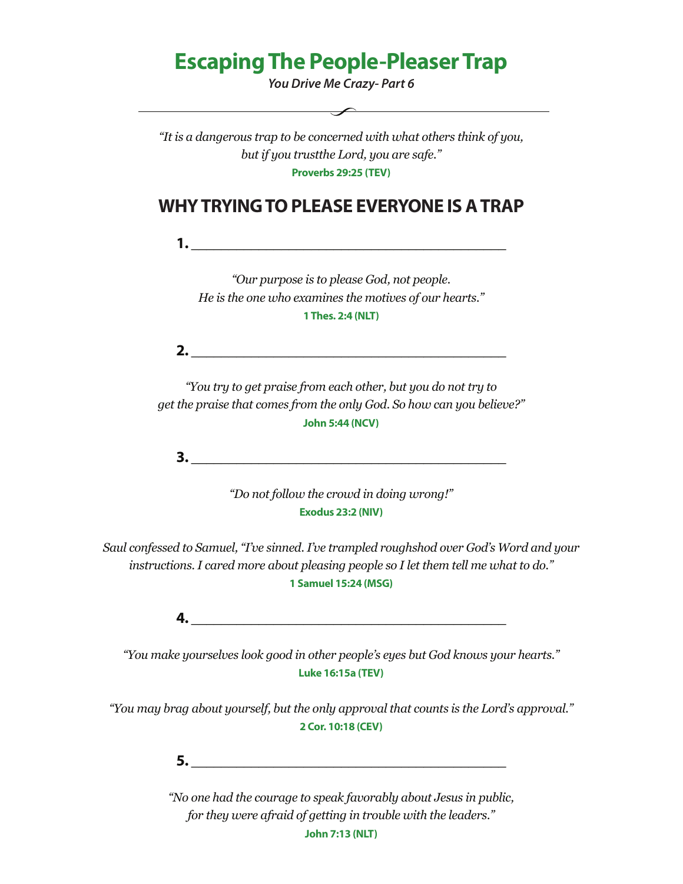# **Escaping The People-Pleaser Trap**

*You Drive Me Crazy- Part 6*

 $\overbrace{\hspace{2.5cm}}$ 

*"It is a dangerous trap to be concerned with what others think of you, but if you trustthe Lord, you are safe."* **Proverbs 29:25 (TEV)**

## **WHY TRYING TO PLEASE EVERYONE IS A TRAP**

**1. \_\_\_\_\_\_\_\_\_\_\_\_\_\_\_\_\_\_\_\_\_\_\_\_\_\_\_\_\_\_\_\_\_\_\_\_\_\_\_\_\_\_**

*"Our purpose is to please God, not people. He is the one who examines the motives of our hearts."* **1 Thes. 2:4 (NLT)**

**2. \_\_\_\_\_\_\_\_\_\_\_\_\_\_\_\_\_\_\_\_\_\_\_\_\_\_\_\_\_\_\_\_\_\_\_\_\_\_\_\_\_\_**

*"You try to get praise from each other, but you do not try to get the praise that comes from the only God. So how can you believe?"* **John 5:44 (NCV)**

**3.**  $\blacksquare$ 

*"Do not follow the crowd in doing wrong!"* **Exodus 23:2 (NIV)**

*Saul confessed to Samuel, "I've sinned. I've trampled roughshod over God's Word and your instructions. I cared more about pleasing people so I let them tell me what to do."* **1 Samuel 15:24 (MSG)**

**4. \_\_\_\_\_\_\_\_\_\_\_\_\_\_\_\_\_\_\_\_\_\_\_\_\_\_\_\_\_\_\_\_\_\_\_\_\_\_\_\_\_\_**

*"You make yourselves look good in other people's eyes but God knows your hearts."* **Luke 16:15a (TEV)**

*"You may brag about yourself, but the only approval that counts is the Lord's approval."* **2 Cor. 10:18 (CEV)**

**5. \_\_\_\_\_\_\_\_\_\_\_\_\_\_\_\_\_\_\_\_\_\_\_\_\_\_\_\_\_\_\_\_\_\_\_\_\_\_\_\_\_\_**

*"No one had the courage to speak favorably about Jesus in public, for they were afraid of getting in trouble with the leaders."*

**John 7:13 (NLT)**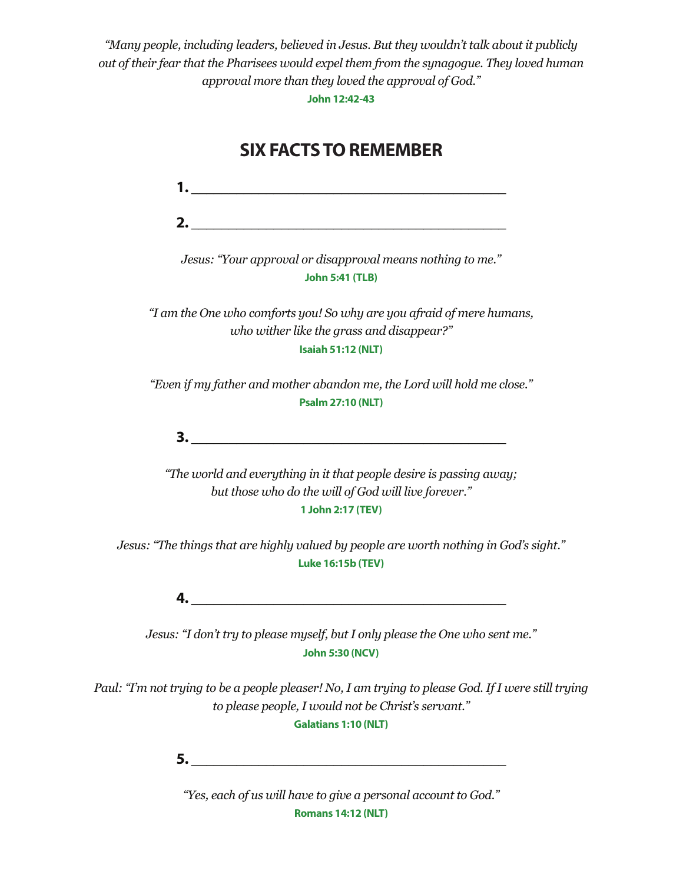*"Many people, including leaders, believed in Jesus. But they wouldn't talk about it publicly out of their fear that the Pharisees would expel them from the synagogue. They loved human approval more than they loved the approval of God."*

**John 12:42-43**

# **SIX FACTS TO REMEMBER 1. \_\_\_\_\_\_\_\_\_\_\_\_\_\_\_\_\_\_\_\_\_\_\_\_\_\_\_\_\_\_\_\_\_\_\_\_\_\_\_\_\_\_ 2. \_\_\_\_\_\_\_\_\_\_\_\_\_\_\_\_\_\_\_\_\_\_\_\_\_\_\_\_\_\_\_\_\_\_\_\_\_\_\_\_\_\_** *Jesus: "Your approval or disapproval means nothing to me."* **John 5:41 (TLB)** *"I am the One who comforts you! So why are you afraid of mere humans, who wither like the grass and disappear?"* **Isaiah 51:12 (NLT)** *"Even if my father and mother abandon me, the Lord will hold me close."* **Psalm 27:10 (NLT) 3. \_\_\_\_\_\_\_\_\_\_\_\_\_\_\_\_\_\_\_\_\_\_\_\_\_\_\_\_\_\_\_\_\_\_\_\_\_\_\_\_\_\_** *"The world and everything in it that people desire is passing away; but those who do the will of God will live forever."* **1 John 2:17 (TEV)** *Jesus: "The things that are highly valued by people are worth nothing in God's sight."* **Luke 16:15b (TEV) 4. \_\_\_\_\_\_\_\_\_\_\_\_\_\_\_\_\_\_\_\_\_\_\_\_\_\_\_\_\_\_\_\_\_\_\_\_\_\_\_\_\_\_** *Jesus: "I don't try to please myself, but I only please the One who sent me."* **John 5:30 (NCV)** *Paul: "I'm not trying to be a people pleaser! No, I am trying to please God. If I were still trying to please people, I would not be Christ's servant."* **Galatians 1:10 (NLT) 5.**  $\blacksquare$

*"Yes, each of us will have to give a personal account to God."* **Romans 14:12 (NLT)**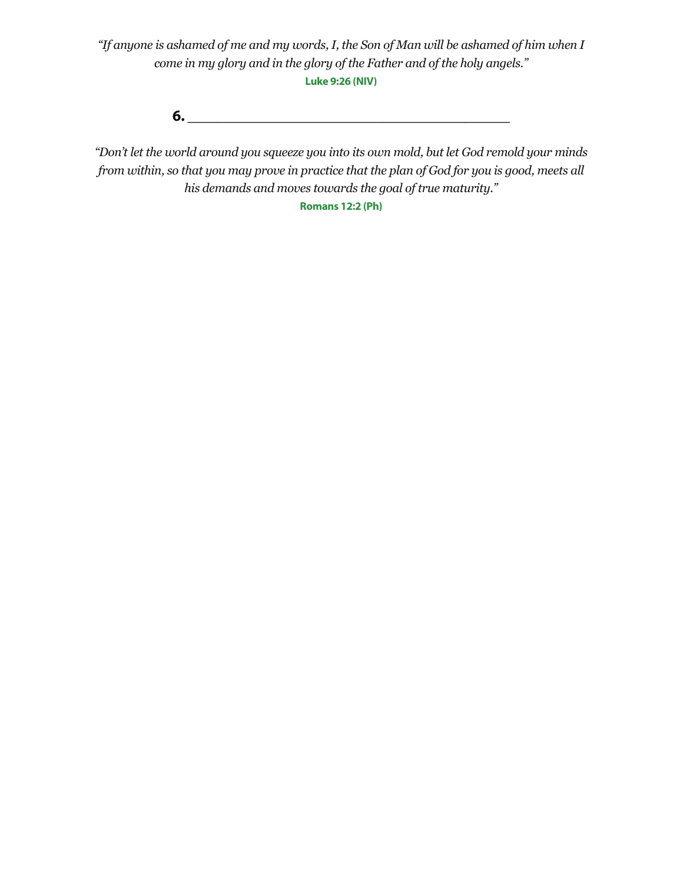*"If anyone is ashamed of me and my words, I, the Son of Man will be ashamed of him when I come in my glory and in the glory of the Father and of the holy angels."* **Luke 9:26 (NIV)**

**6.**  $\blacksquare$ 

*"Don't let the world around you squeeze you into its own mold, but let God remold your minds from within, so that you may prove in practice that the plan of God for you is good, meets all his demands and moves towards the goal of true maturity."*

**Romans 12:2 (Ph)**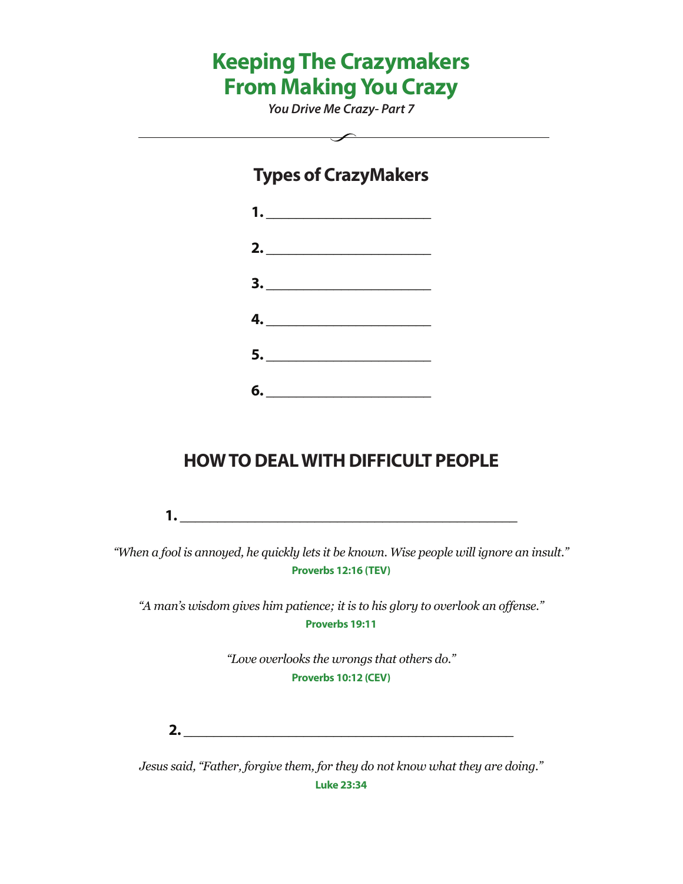# **Keeping The Crazymakers From Making You Crazy**

*You Drive Me Crazy- Part 7*

 $\overbrace{\hspace{2.5cm}}$ 

## **Types of CrazyMakers**



# **HOW TO DEAL WITH DIFFICULT PEOPLE**

**1. \_\_\_\_\_\_\_\_\_\_\_\_\_\_\_\_\_\_\_\_\_\_\_\_\_\_\_\_\_\_\_\_\_\_\_\_\_\_\_\_\_\_\_\_\_**

*"When a fool is annoyed, he quickly lets it be known. Wise people will ignore an insult."* **Proverbs 12:16 (TEV)**

*"A man's wisdom gives him patience; it is to his glory to overlook an offense."* **Proverbs 19:11**

> *"Love overlooks the wrongs that others do."* **Proverbs 10:12 (CEV)**

**2. \_\_\_\_\_\_\_\_\_\_\_\_\_\_\_\_\_\_\_\_\_\_\_\_\_\_\_\_\_\_\_\_\_\_\_\_\_\_\_\_\_\_\_\_**

*Jesus said, "Father, forgive them, for they do not know what they are doing."* **Luke 23:34**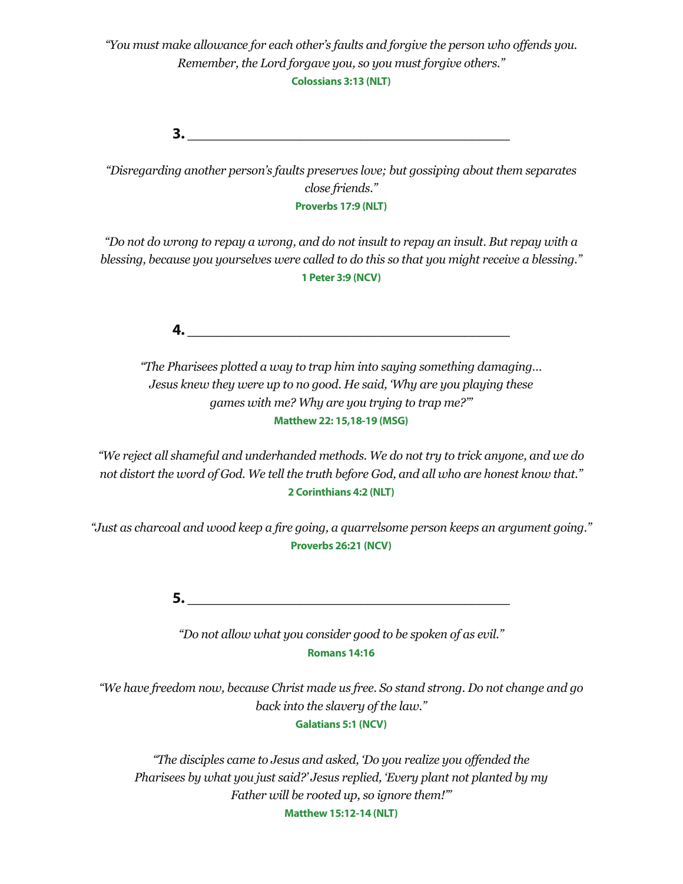*"You must make allowance for each other's faults and forgive the person who offends you. Remember, the Lord forgave you, so you must forgive others."* **Colossians 3:13 (NLT)**

**3. \_\_\_\_\_\_\_\_\_\_\_\_\_\_\_\_\_\_\_\_\_\_\_\_\_\_\_\_\_\_\_\_\_\_\_\_\_\_\_\_\_\_\_**

*"Disregarding another person's faults preserves love; but gossiping about them separates close friends."* **Proverbs 17:9 (NLT)**

*"Do not do wrong to repay a wrong, and do not insult to repay an insult. But repay with a blessing, because you yourselves were called to do this so that you might receive a blessing."* **1 Peter 3:9 (NCV)**

**4. \_\_\_\_\_\_\_\_\_\_\_\_\_\_\_\_\_\_\_\_\_\_\_\_\_\_\_\_\_\_\_\_\_\_\_\_\_\_\_\_\_\_\_**

*"The Pharisees plotted a way to trap him into saying something damaging… Jesus knew they were up to no good. He said, 'Why are you playing these games with me? Why are you trying to trap me?'"* **Matthew 22: 15,18-19 (MSG)**

*"We reject all shameful and underhanded methods. We do not try to trick anyone, and we do not distort the word of God. We tell the truth before God, and all who are honest know that."*  **2 Corinthians 4:2 (NLT)**

*"Just as charcoal and wood keep a fire going, a quarrelsome person keeps an argument going."* **Proverbs 26:21 (NCV)**

**5. \_\_\_\_\_\_\_\_\_\_\_\_\_\_\_\_\_\_\_\_\_\_\_\_\_\_\_\_\_\_\_\_\_\_\_\_\_\_\_\_\_\_\_**

*"Do not allow what you consider good to be spoken of as evil."* **Romans 14:16**

*"We have freedom now, because Christ made us free. So stand strong. Do not change and go back into the slavery of the law."*

**Galatians 5:1 (NCV)**

*"The disciples came to Jesus and asked, 'Do you realize you offended the Pharisees by what you just said?' Jesus replied, 'Every plant not planted by my Father will be rooted up, so ignore them!'"* **Matthew 15:12-14 (NLT)**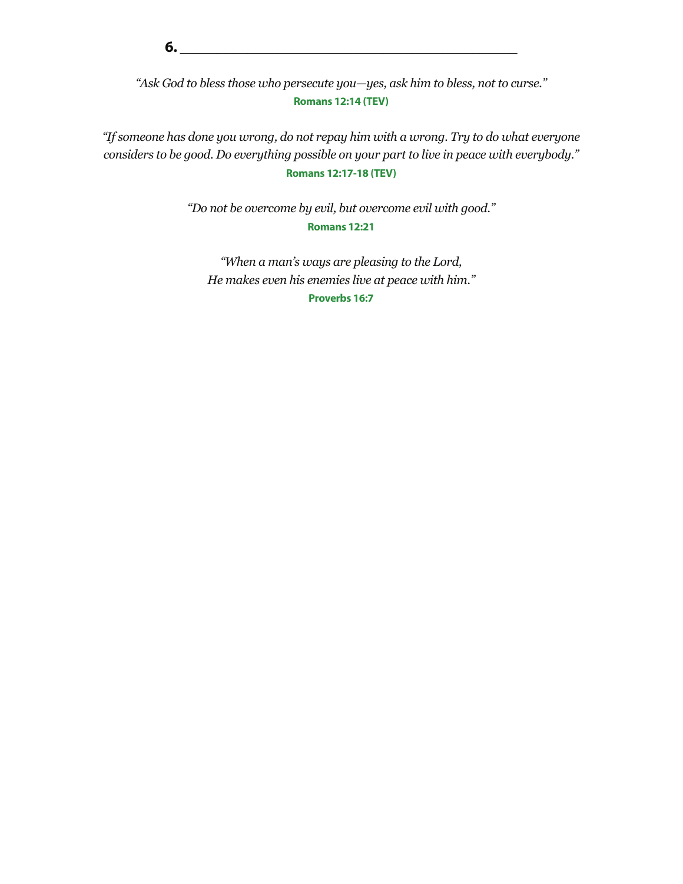*"Ask God to bless those who persecute you—yes, ask him to bless, not to curse."* **Romans 12:14 (TEV)**

*"If someone has done you wrong, do not repay him with a wrong. Try to do what everyone considers to be good. Do everything possible on your part to live in peace with everybody."* **Romans 12:17-18 (TEV)**

> *"Do not be overcome by evil, but overcome evil with good."* **Romans 12:21**

*"When a man's ways are pleasing to the Lord, He makes even his enemies live at peace with him."* **Proverbs 16:7**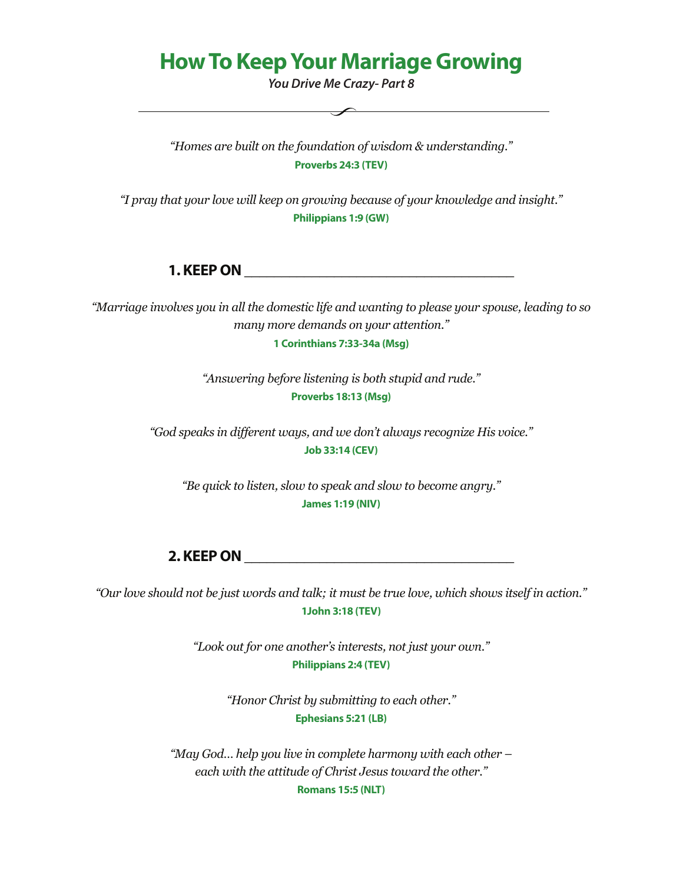# **How To Keep Your Marriage Growing**

*You Drive Me Crazy- Part 8*

*"Homes are built on the foundation of wisdom & understanding."* **Proverbs 24:3 (TEV)**

*"I pray that your love will keep on growing because of your knowledge and insight."* **Philippians 1:9 (GW)**

### **1. KEEP ON**  *CON*

*"Marriage involves you in all the domestic life and wanting to please your spouse, leading to so many more demands on your attention."*

**1 Corinthians 7:33-34a (Msg)**

*"Answering before listening is both stupid and rude."* **Proverbs 18:13 (Msg)**

*"God speaks in different ways, and we don't always recognize His voice."* **Job 33:14 (CEV)**

*"Be quick to listen, slow to speak and slow to become angry."* **James 1:19 (NIV)**

**2. KEEP ON \_\_\_\_\_\_\_\_\_\_\_\_\_\_\_\_\_\_\_\_\_\_\_\_\_\_\_\_\_\_\_\_\_\_\_\_**

*"Our love should not be just words and talk; it must be true love, which shows itself in action."*  **1John 3:18 (TEV)**

> *"Look out for one another's interests, not just your own."* **Philippians 2:4 (TEV)**

> > *"Honor Christ by submitting to each other."* **Ephesians 5:21 (LB)**

*"May God… help you live in complete harmony with each other – each with the attitude of Christ Jesus toward the other."* **Romans 15:5 (NLT)**